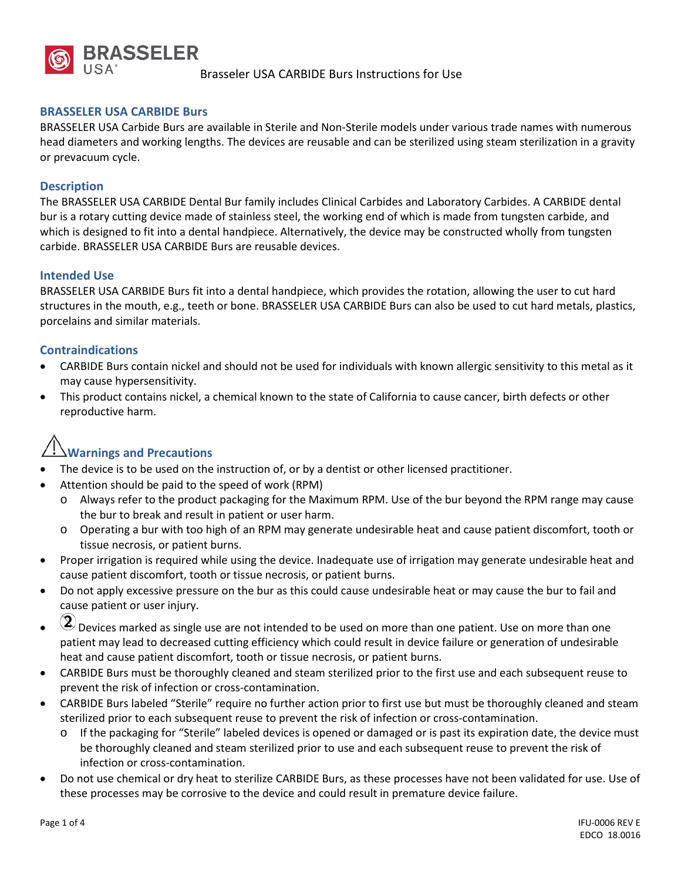

### **BRASSELER USA CARBIDE Burs**

BRASSELER USA Carbide Burs are available in Sterile and Non-Sterile models under various trade names with numerous head diameters and working lengths. The devices are reusable and can be sterilized using steam sterilization in a gravity or prevacuum cycle.

### **Description**

The BRASSELER USA CARBIDE Dental Bur family includes Clinical Carbides and Laboratory Carbides. A CARBIDE dental bur is a rotary cutting device made of stainless steel, the working end of which is made from tungsten carbide, and which is designed to fit into a dental handpiece. Alternatively, the device may be constructed wholly from tungsten carbide. BRASSELER USA CARBIDE Burs are reusable devices.

#### **Intended Use**

BRASSELER USA CARBIDE Burs fit into a dental handpiece, which provides the rotation, allowing the user to cut hard structures in the mouth, e.g., teeth or bone. BRASSELER USA CARBIDE Burs can also be used to cut hard metals, plastics, porcelains and similar materials.

### **Contraindications**

- CARBIDE Burs contain nickel and should not be used for individuals with known allergic sensitivity to this metal as it may cause hypersensitivity.
- This product contains nickel, a chemical known to the state of California to cause cancer, birth defects or other reproductive harm.

# **Warnings and Precautions**

- The device is to be used on the instruction of, or by a dentist or other licensed practitioner.
- Attention should be paid to the speed of work (RPM)
	- o Always refer to the product packaging for the Maximum RPM. Use of the bur beyond the RPM range may cause the bur to break and result in patient or user harm.
	- o Operating a bur with too high of an RPM may generate undesirable heat and cause patient discomfort, tooth or tissue necrosis, or patient burns.
- Proper irrigation is required while using the device. Inadequate use of irrigation may generate undesirable heat and cause patient discomfort, tooth or tissue necrosis, or patient burns.
- Do not apply excessive pressure on the bur as this could cause undesirable heat or may cause the bur to fail and cause patient or user injury.
- $\circled{2}$  Devices marked as single use are not intended to be used on more than one patient. Use on more than one patient may lead to decreased cutting efficiency which could result in device failure or generation of undesirable heat and cause patient discomfort, tooth or tissue necrosis, or patient burns.
- CARBIDE Burs must be thoroughly cleaned and steam sterilized prior to the first use and each subsequent reuse to prevent the risk of infection or cross-contamination.
- CARBIDE Burs labeled "Sterile" require no further action prior to first use but must be thoroughly cleaned and steam sterilized prior to each subsequent reuse to prevent the risk of infection or cross-contamination.
	- o If the packaging for "Sterile" labeled devices is opened or damaged or is past its expiration date, the device must be thoroughly cleaned and steam sterilized prior to use and each subsequent reuse to prevent the risk of infection or cross-contamination.
- Do not use chemical or dry heat to sterilize CARBIDE Burs, as these processes have not been validated for use. Use of these processes may be corrosive to the device and could result in premature device failure.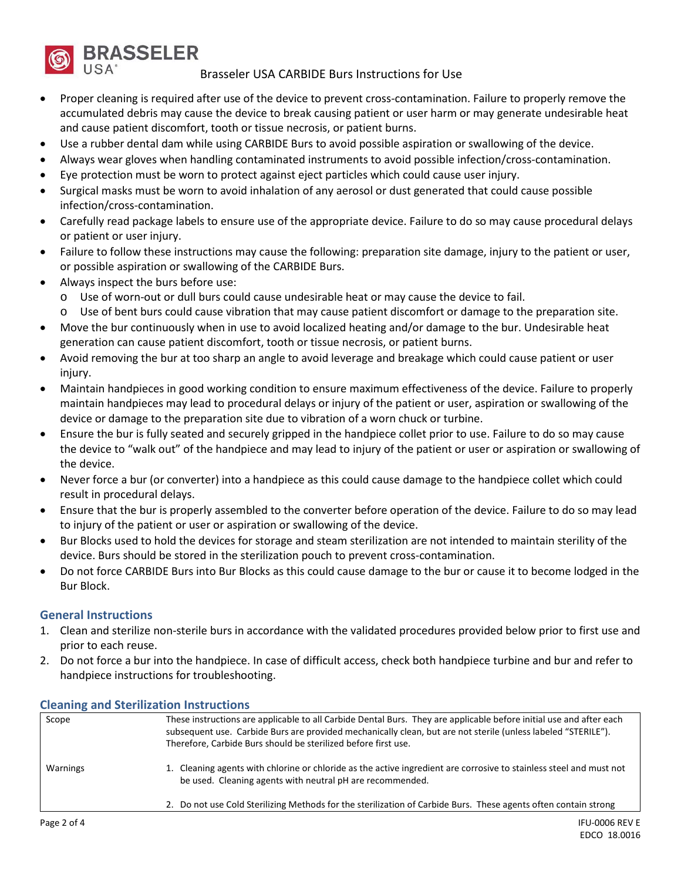

Brasseler USA CARBIDE Burs Instructions for Use

- Proper cleaning is required after use of the device to prevent cross-contamination. Failure to properly remove the accumulated debris may cause the device to break causing patient or user harm or may generate undesirable heat and cause patient discomfort, tooth or tissue necrosis, or patient burns.
- Use a rubber dental dam while using CARBIDE Burs to avoid possible aspiration or swallowing of the device.
- Always wear gloves when handling contaminated instruments to avoid possible infection/cross-contamination.
- Eye protection must be worn to protect against eject particles which could cause user injury.
- Surgical masks must be worn to avoid inhalation of any aerosol or dust generated that could cause possible infection/cross-contamination.
- Carefully read package labels to ensure use of the appropriate device. Failure to do so may cause procedural delays or patient or user injury.
- Failure to follow these instructions may cause the following: preparation site damage, injury to the patient or user, or possible aspiration or swallowing of the CARBIDE Burs.
- Always inspect the burs before use:
	- o Use of worn-out or dull burs could cause undesirable heat or may cause the device to fail.
	- o Use of bent burs could cause vibration that may cause patient discomfort or damage to the preparation site.
- Move the bur continuously when in use to avoid localized heating and/or damage to the bur. Undesirable heat generation can cause patient discomfort, tooth or tissue necrosis, or patient burns.
- Avoid removing the bur at too sharp an angle to avoid leverage and breakage which could cause patient or user injury.
- Maintain handpieces in good working condition to ensure maximum effectiveness of the device. Failure to properly maintain handpieces may lead to procedural delays or injury of the patient or user, aspiration or swallowing of the device or damage to the preparation site due to vibration of a worn chuck or turbine.
- Ensure the bur is fully seated and securely gripped in the handpiece collet prior to use. Failure to do so may cause the device to "walk out" of the handpiece and may lead to injury of the patient or user or aspiration or swallowing of the device.
- Never force a bur (or converter) into a handpiece as this could cause damage to the handpiece collet which could result in procedural delays.
- Ensure that the bur is properly assembled to the converter before operation of the device. Failure to do so may lead to injury of the patient or user or aspiration or swallowing of the device.
- Bur Blocks used to hold the devices for storage and steam sterilization are not intended to maintain sterility of the device. Burs should be stored in the sterilization pouch to prevent cross-contamination.
- Do not force CARBIDE Burs into Bur Blocks as this could cause damage to the bur or cause it to become lodged in the Bur Block.

### **General Instructions**

- 1. Clean and sterilize non-sterile burs in accordance with the validated procedures provided below prior to first use and prior to each reuse.
- 2. Do not force a bur into the handpiece. In case of difficult access, check both handpiece turbine and bur and refer to handpiece instructions for troubleshooting.

| Scope       | These instructions are applicable to all Carbide Dental Burs. They are applicable before initial use and after each                                                              |
|-------------|----------------------------------------------------------------------------------------------------------------------------------------------------------------------------------|
|             | subsequent use. Carbide Burs are provided mechanically clean, but are not sterile (unless labeled "STERILE").                                                                    |
|             | Therefore, Carbide Burs should be sterilized before first use.                                                                                                                   |
| Warnings    | 1. Cleaning agents with chlorine or chloride as the active ingredient are corrosive to stainless steel and must not<br>be used. Cleaning agents with neutral pH are recommended. |
|             | 2. Do not use Cold Sterilizing Methods for the sterilization of Carbide Burs. These agents often contain strong                                                                  |
| Page 2 of 4 | IFU-0006 REV E                                                                                                                                                                   |

### **Cleaning and Sterilization Instructions**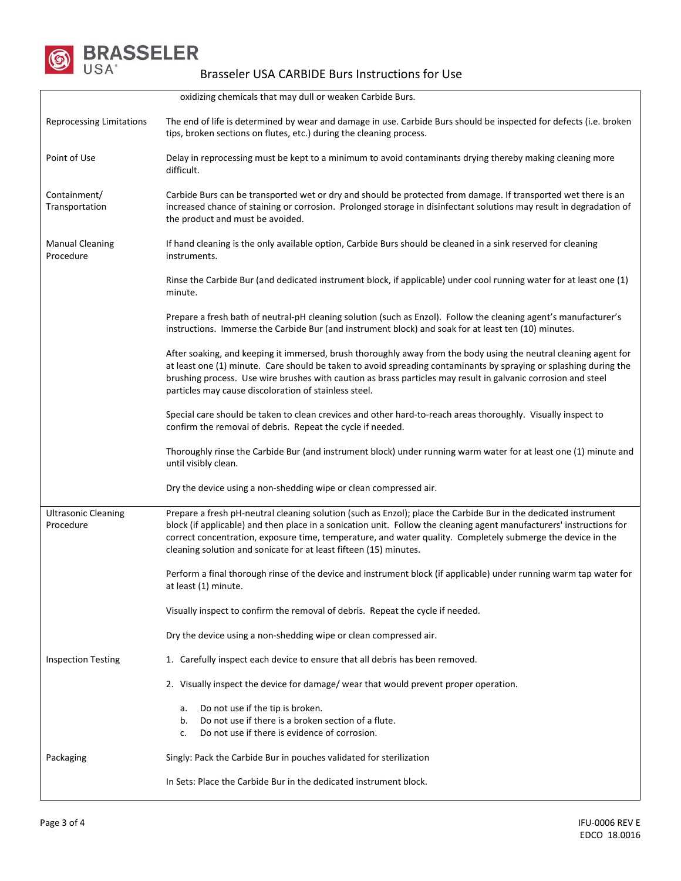

| oxidizing chemicals that may dull or weaken Carbide Burs. |                                                                                                                                                                                                                                                                                                                                                                                                                             |  |  |  |  |
|-----------------------------------------------------------|-----------------------------------------------------------------------------------------------------------------------------------------------------------------------------------------------------------------------------------------------------------------------------------------------------------------------------------------------------------------------------------------------------------------------------|--|--|--|--|
| <b>Reprocessing Limitations</b>                           | The end of life is determined by wear and damage in use. Carbide Burs should be inspected for defects (i.e. broken<br>tips, broken sections on flutes, etc.) during the cleaning process.                                                                                                                                                                                                                                   |  |  |  |  |
| Point of Use                                              | Delay in reprocessing must be kept to a minimum to avoid contaminants drying thereby making cleaning more<br>difficult.                                                                                                                                                                                                                                                                                                     |  |  |  |  |
| Containment/<br>Transportation                            | Carbide Burs can be transported wet or dry and should be protected from damage. If transported wet there is an<br>increased chance of staining or corrosion. Prolonged storage in disinfectant solutions may result in degradation of<br>the product and must be avoided.                                                                                                                                                   |  |  |  |  |
| <b>Manual Cleaning</b><br>Procedure                       | If hand cleaning is the only available option, Carbide Burs should be cleaned in a sink reserved for cleaning<br>instruments.                                                                                                                                                                                                                                                                                               |  |  |  |  |
|                                                           | Rinse the Carbide Bur (and dedicated instrument block, if applicable) under cool running water for at least one (1)<br>minute.                                                                                                                                                                                                                                                                                              |  |  |  |  |
|                                                           | Prepare a fresh bath of neutral-pH cleaning solution (such as Enzol). Follow the cleaning agent's manufacturer's<br>instructions. Immerse the Carbide Bur (and instrument block) and soak for at least ten (10) minutes.                                                                                                                                                                                                    |  |  |  |  |
|                                                           | After soaking, and keeping it immersed, brush thoroughly away from the body using the neutral cleaning agent for<br>at least one (1) minute. Care should be taken to avoid spreading contaminants by spraying or splashing during the<br>brushing process. Use wire brushes with caution as brass particles may result in galvanic corrosion and steel<br>particles may cause discoloration of stainless steel.             |  |  |  |  |
|                                                           | Special care should be taken to clean crevices and other hard-to-reach areas thoroughly. Visually inspect to<br>confirm the removal of debris. Repeat the cycle if needed.                                                                                                                                                                                                                                                  |  |  |  |  |
|                                                           | Thoroughly rinse the Carbide Bur (and instrument block) under running warm water for at least one (1) minute and<br>until visibly clean.                                                                                                                                                                                                                                                                                    |  |  |  |  |
|                                                           | Dry the device using a non-shedding wipe or clean compressed air.                                                                                                                                                                                                                                                                                                                                                           |  |  |  |  |
| <b>Ultrasonic Cleaning</b><br>Procedure                   | Prepare a fresh pH-neutral cleaning solution (such as Enzol); place the Carbide Bur in the dedicated instrument<br>block (if applicable) and then place in a sonication unit. Follow the cleaning agent manufacturers' instructions for<br>correct concentration, exposure time, temperature, and water quality. Completely submerge the device in the<br>cleaning solution and sonicate for at least fifteen (15) minutes. |  |  |  |  |
|                                                           | Perform a final thorough rinse of the device and instrument block (if applicable) under running warm tap water for<br>at least (1) minute.                                                                                                                                                                                                                                                                                  |  |  |  |  |
|                                                           | Visually inspect to confirm the removal of debris. Repeat the cycle if needed.                                                                                                                                                                                                                                                                                                                                              |  |  |  |  |
|                                                           | Dry the device using a non-shedding wipe or clean compressed air.                                                                                                                                                                                                                                                                                                                                                           |  |  |  |  |
| <b>Inspection Testing</b>                                 | 1. Carefully inspect each device to ensure that all debris has been removed.                                                                                                                                                                                                                                                                                                                                                |  |  |  |  |
|                                                           | 2. Visually inspect the device for damage/ wear that would prevent proper operation.                                                                                                                                                                                                                                                                                                                                        |  |  |  |  |
|                                                           | Do not use if the tip is broken.<br>а.<br>Do not use if there is a broken section of a flute.<br>b.<br>Do not use if there is evidence of corrosion.<br>c.                                                                                                                                                                                                                                                                  |  |  |  |  |
| Packaging                                                 | Singly: Pack the Carbide Bur in pouches validated for sterilization                                                                                                                                                                                                                                                                                                                                                         |  |  |  |  |
|                                                           | In Sets: Place the Carbide Bur in the dedicated instrument block.                                                                                                                                                                                                                                                                                                                                                           |  |  |  |  |